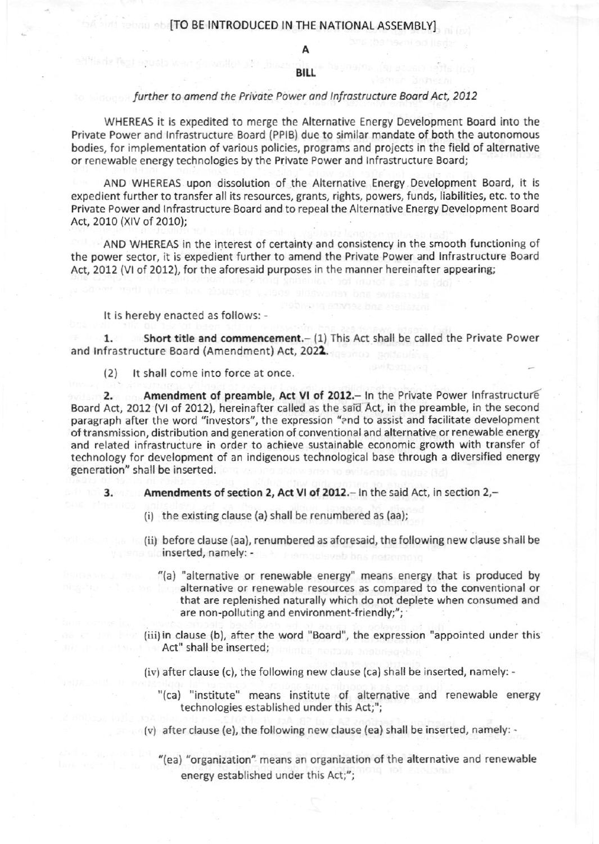## **DAMING THE NATIONAL ASSEMBLY]**

A

## **BILL**

## lurther to amend the Private Power and Infrastructure Board Act, 2012

WHEREAS it is expedited to merge the Alternative Energy Development Eoard into the Private Power and lnfrastructure Board (PPlg) due to similar mandate of both the autonomous bodies, for implementation of various policies, programs and projects in the field of alternative or renewable energy technologies by the Private Power and lnfrastructure Boardj

AND WHEREAS upon dissolution of the Alternative Energy Development Board, it is expedient further to transfer all its resources, grants, rights, powers, funds, liabilities, etc. to the Private Power and Infrastructure Board and to repeal the Alternative Energy Development Board Act, 2010 (XlV of 2010);

AND WHEREAS in the interest of certainty and consistency in the smooth functioning of the power sector, it is expedient further to amend the Private Power and lnfrastructure Board Act, 2012 (VI of 2012), for the aforesaid purposes in the manner hereinafter appearing;

## It is hereby enacted as follows: -

1. Short title and commencement.- (1) This Act shall be called the Private Power and lnfrastructure Board {Amendment) Act, 2021.

(2) It shall come into force at once.

Ab War dimardhal she

2. Amendment of preamble, Act VI of 2012. - In the Private Power Infrastructure Board Act, 2012 (VI of 2012), hereinafter called as the said Act, in the preamble, in the second paragraph after the word "investors", the expression "and to assist and facilitate development of transmission, distribution and generation of conventional and alternative or renewable energy and related infrastructure in order to achieve sustainable economic growth with transfer of technology for development of an indigenous technological base through a diversified energy generation" shall be inserted.

3. Amendments of section 2, Act Vl of 2012.- ln the said Act, in section 2,-

- (i) the existing clause (a) shall be renumbered as (aa);
- (ii) before clause {aa), renumbered as aforesaid, the following new clause shall be inserted, namely: - and an amely: - and an american
	- "(a) "alternative or renewable energy" means energy that is produced by alternative or renewable resources as compared to the conventional or that are replenished naturally which do not deplete when consumed and are non-polluting and environment-friendly;";
	- (iii) in clause (b), after the word "Board", the expression "appointed under this Act" shall be inserted;
	- (iv) after clause (c), the following new clause (ca) shall be inserted, namely:
		- "(ca) "institute" means institute of alternative and renewable energy technologies established under this Act;";
	- $(v)$  after clause (e), the following new clause (ea) shall be inserted, namely: -
		- "(ea) "organization" means an organization of the alternative and renewable energy established under this Act;";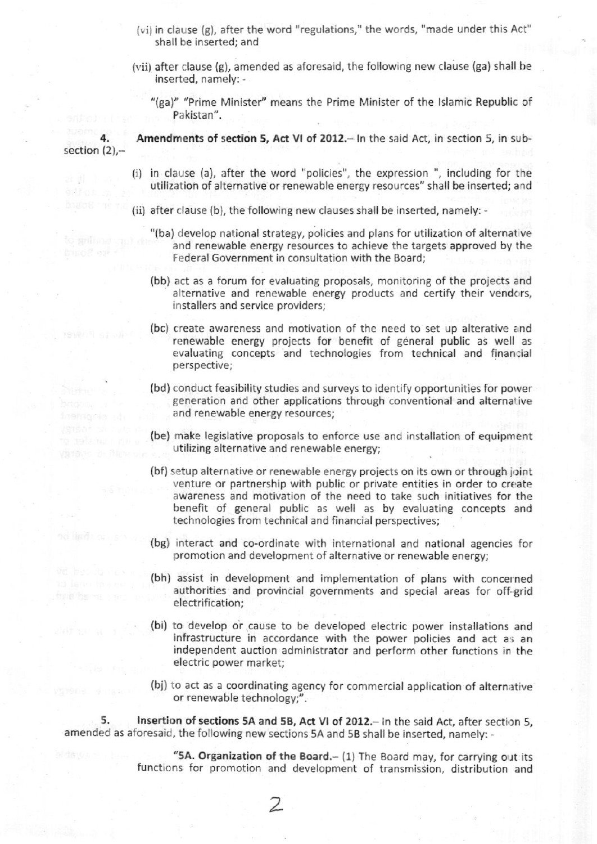- (vi) in clause {g), after the word "regulations," the words, "made undet this Act" shall be inserted; and
- (vii) after clause (g), amended as aforesaid, the following new clause (ga) shall be inserted, namely: -
	- "(ga)" "Prime Minister" means the Prime Minister of the Islamic Republic of Pakistan".

4. section  $(2)$ ,-Amendments of section 5, Act VI of 2012.- In the said Act, in section 5, in sub-

- $(i)$  in clause (a), after the word "policies", the expression ", including for the utilization of alternative or renewable energy resources" shall be inserted; and
- (ii) after clause (b), the following new clauses shall be inserted, namely:
	- "(ba) develop national strategy, policies and plans for utilization of alternative and renewable energy resources to achieve the targets approved by the Federal Government in consultation with the Board;
	- (bb) act as a forum for evaluating proposals, monitoring of the projects and alternative and renewable energy products and certify their vendors, installers and service providers;
	- (bc) create awareness and motivation of the need to set up alterative and renewable energy projects for benefit of general public as well as evaluating concepts and technologies from technical and financial perspective;
	- (bd) conduct feasibility studies and surveys to identify opportunities for power generation and other applications through conventional and alternative and renewable energy resources;
	- {be) make legislative proposals to enforce use and installation of equipment utilizing alternative and renewable energy;
	- (bf) setup alternative or renewable energy projects on its own or through joint venture or partnership with public or private entities in order to create awareness and motivation of the need to take such initiatives for the benefit of general public as well as by evaluating concepts and technologies from technical and tinancial perspectives;
	- (bg) interad and co-ordinate with international and national agencies for promotion and development of alternative or renewable energy;
	- (bh) assist in development and Implementation of plans with concerned authorities and provincial governments and special areas for off-grid electrification;
	- (bi) to develop or cause to be developed electric power installations and infrastructure in accordance with the power policies and act as an independent auction administrator and perform other functions in the electric power market;
	- (bj) to act as a coordinating agency for commercial application of alternative or renewable technology;".

5. Insertion of sections 5A and 5B, Act VI of 2012.- In the said Act, after section 5, amended as aforesaid, the following new sections 5A and 5B shall be inserted, namely: -

> "5A. Organization of the Board. $-$  (1) The Board may, for carrying out its functions for promotion and development of transmission, distribution and